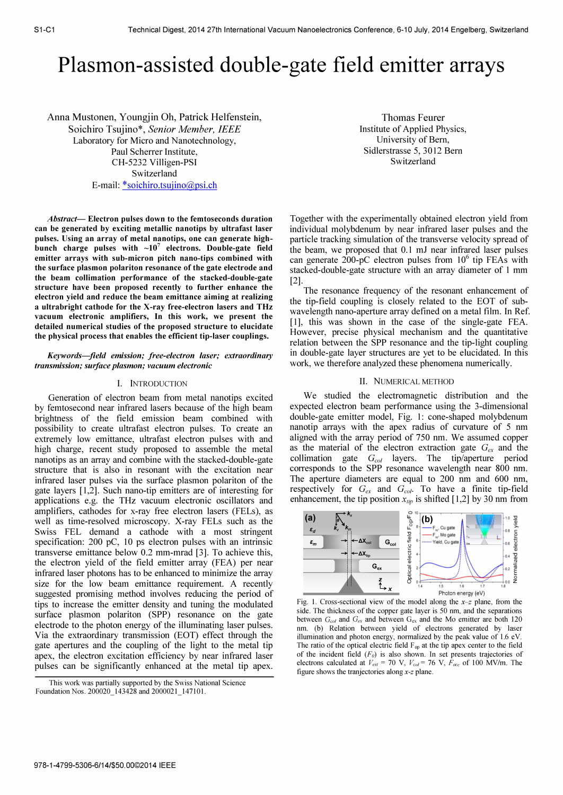# Plasmon-assisted double-gate field emitter arrays

Anna Mustonen, Youngjin Oh, Patrick Helfenstein, Soichiro Tsujino\*, Senior Member, IEEE Laboratory for Micro and Nanotechnology, Paul Scherrer Institute, CH-5232 Villigen-PSI Switzerland E-mail: \*soichiro.tsujino@psi.ch

Abstract-- Electron pulses down to the femtoseconds duration can be generated by exciting metallic nanotips by ultrafast laser pulses. Using an array of metal nanotips, one can generate highbunch charge pulses with  $\sim 10^7$  electrons. Double-gate field emitter arrays with sub-micron pitch nano-tips combined with the surface plasmon polariton resonance of the gate electrode and the beam collimation performance of the stacked-double-gate structure have been proposed recently to further enhance the electron yield and reduce the beam emittance aiming at realizing a ultrabright cathode for the X-ray free-electron lasers and THz vacuum electronic amplifiers, In this work, we present the detailed numerical studies of the proposed structure to elucidate the physical process that enables the efficient tip-laser couplings.

## Keywords-field emission; free-electron laser; extraordinary transmission; surface plasmon; vacuum electronic

#### I. INTRODUCTION

Generation of electron beam from metal nanotips excited by femtosecond near infrared lasers because of the high beam brightness of the field emission beam combined with possibility to create ultrafast electron pulses. To create an extremely low emittance, ultrafast electron pulses with and high charge, recent study proposed to assemble the metal nanotips as an array and combine with the stacked-double-gate structure that is also in resonant with the excitation near infrared laser pulses via the surface plasmon polariton of the gate layers [1,2]. Such nano-tip emitters are of interesting for applications e.g. the THz vacuum electronic oscillators and amplifiers, cathodes for x-ray free electron lasers (FELs), as well as time-resolved microscopy. X-ray FELs such as the Swiss FEL demand a cathode with a most stringent specification: 200 pC, 10 ps electron pulses with an intrinsic transverse emittance below 0.2 mm-mrad [3]. To achieve this, the electron yield of the field emitter array (FEA) per near infrared laser photons has to be enhanced to minimize the array size for the low beam emittance requirement. A recently suggested promising method involves reducing the period of tips to increase the emitter density and tuning the modulated surface plasmon polariton (SPP) resonance on the gate electrode to the photon energy of the illuminating laser pulses. Via the extraordinary transmission (EOT) effect through the gate apertures and the coupling of the light to the metal tip apex, the electron excitation efficiency by near infrared laser pulses can be significantly enhanced at the metal tip apex.

Thomas Feurer Institute of Applied Physics, University of Bern, Sidlerstrasse 5, 3012 Bern Switzerland

Together with the experimentally obtained electron yield from individual molybdenum by near infrared laser pulses and the particle tracking simulation of the transverse velocity spread of the beam, we proposed that 0.1 mJ near infrared laser pulses can generate 200-pC electron pulses from  $10<sup>6</sup>$  tip FEAs with stacked-double-gate structure with an array diameter of 1 mm [2].

The resonance frequency of the resonant enhancement of the tip-field coupling is closely related to the EOT of subwavelength nano-aperture array defined on a metal film. In Ref. [1], this was shown in the case of the single-gate FEA. However, precise physical mechanism and the quantitative relation between the SPP resonance and the tip-light coupling in double-gate layer structures are yet to be elucidated. In this work, we therefore analyzed these phenomena numerically.

## II. NUMERICAL METHOD

We studied the electromagnetic distribution and the expected electron beam performance using the 3-dimensional double-gate emitter model, Fig. 1: cone-shaped molybdenum nanotip arrays with the apex radius of curvature of 5 nm aligned with the array period of 750 nm. We assumed copper as the material of the electron extraction gate  $G_{ex}$  and the collimation gate  $G_{col}$  layers. The tip/aperture period corresponds to the SPP resonance wavelength near 800 nm. The aperture diameters are equal to 200 nm and 600 nm, respectively for  $G_{ex}$  and  $G_{col}$ . To have a finite tip-field enhancement, the tip position  $x_{tip}$  is shifted [1,2] by 30 nm from



Fig. 1. Cross-sectional view of the model along the  $x-z$  plane, from the side. The thickness of the copper gate layer is 50 nm, and the separations between  $G_{col}$  and  $G_{ex}$  and between  $G_{ex}$  and the Mo emitter are both 120 nm. (b) Relation between yield of electrons generated by laser illumination and photon energy, normalized by the peak value of 1.6 eY. The ratio of the optical electric field  $F_{op}$  at the tip apex center to the field of the incident field  $(F_0)$  is also shown. In set presents trajectories of electrons calculated at  $V_{ext} = 70$  V,  $V_{col} = 76$  V,  $\hat{F}_{acc}$  of 100 MV/m. The figure shows the tranjectories along  $x-z$  plane.

This work was partially supported by the Swiss National Science Foundation Nos. 200020 143428 and 2000021 147101.